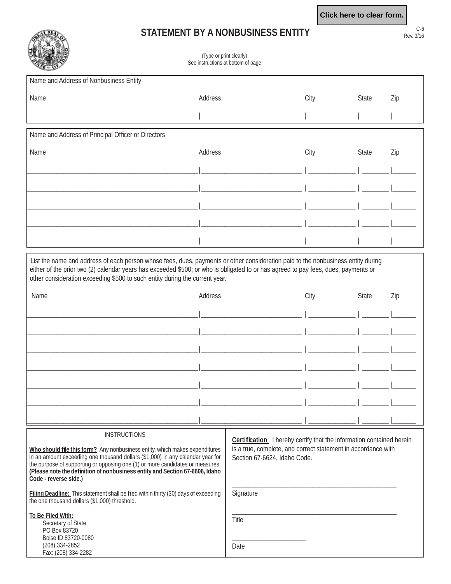## **STATEMENT BY A NONBUSINESS ENTITY**



## (Type or print clearly) See instructions at bottom of page

| Name and Address of Nonbusiness Entity             |         |      |       |     |
|----------------------------------------------------|---------|------|-------|-----|
| Name                                               | Address | City | State | Zip |
|                                                    |         |      |       |     |
| Name and Address of Principal Officer or Directors |         |      |       |     |
| Name                                               | Address | City | State | Zip |
|                                                    |         |      |       |     |
|                                                    |         |      |       |     |
|                                                    |         |      |       |     |
|                                                    |         |      |       |     |
|                                                    |         |      |       |     |

 List the name and address of each person whose fees, dues, payments or other consideration paid to the nonbusiness entity during either of the prior two (2) calendar years has exceeded \$500; or who is obligated to or has agreed to pay fees, dues, payments or other consideration exceeding \$500 to such entity during the current year.

| Name | Address | City | State | Zip |
|------|---------|------|-------|-----|
|      |         |      |       |     |
|      |         |      |       |     |
|      |         |      |       |     |
|      |         |      |       |     |
|      |         |      |       |     |
|      |         |      |       |     |
|      |         |      |       |     |
|      |         |      |       |     |

Who should file this form? Any nonbusiness entity, which makes expenditures in an amount exceeding one thousand dollars (\$1,000) in any calendar year for the purpose of supporting or opposing one (1) or more candidates or measures. **(Please note the defi nition of nonbusiness entity and Section 67-6606, Idaho Code - reverse side.)**

**INSTRUCTIONS** 

Filing Deadline: This statement shall be filed within thirty (30) days of exceeding the one thousand dollars (\$1,000) threshold.

**Certification:** I hereby certify that the information contained herein is a true, complete, and correct statement in accordance with Section 67-6624, Idaho Code.

\_\_\_\_\_\_\_\_\_\_\_\_\_\_\_\_\_\_\_\_\_\_\_\_\_\_\_\_\_\_\_\_\_\_\_\_\_\_\_\_\_\_\_\_\_\_\_\_\_

\_\_\_\_\_\_\_\_\_\_\_\_\_\_\_\_\_\_\_\_\_\_\_\_\_\_\_\_\_\_\_\_\_\_\_\_\_\_\_\_\_\_\_\_\_\_\_\_\_

**Signature** 

Title

Secretary of State PO Box 83720 Boise ID 83720-0080 (208) 334-2852 Fax: (208) 334-2282

**To Be Filed With:**

 $\overline{\phantom{a}}$  , which is the set of the set of the set of the set of the set of the set of the set of the set of the set of the set of the set of the set of the set of the set of the set of the set of the set of the set of Date

Rev. 3/16